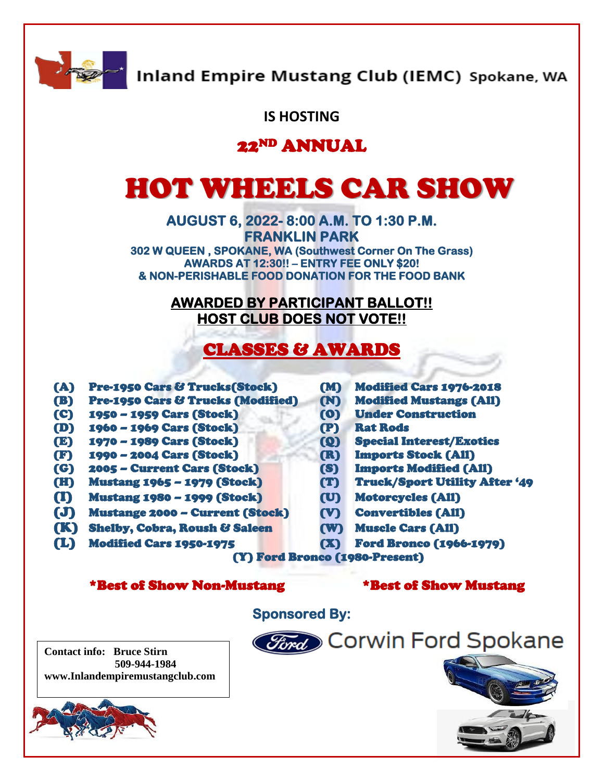

Inland Empire Mustang Club (IEMC) Spokane, WA

### **IS HOSTING**

# 22ND ANNUAL

# HOT WHEELS CAR SHOW

**AUGUST 6, 2022- 8:00 A.M. TO 1:30 P.M. FRANKLIN PARK 302 W QUEEN , SPOKANE, WA (Southwest Corner On The Grass) AWARDS AT 12:30!! – ENTRY FEE ONLY \$20!** 

**& NON-PERISHABLE FOOD DONATION FOR THE FOOD BANK** 

#### **AWARDED BY PARTICIPANT BALLOT!! HOST CLUB DOES NOT VOTE!!**

# CLASSES & AWARDS

l

- (A) Pre-1950 Cars & Trucks(Stock) (M) Modified Cars 1976-2018
- (B) Pre-1950 Cars & Trucks (Modified) (N) Modified Mustangs (All)
- (C) 1950 1959 Cars (Stock) (O) Under Construction
- (D) 1960 1969 Cars (Stock) (P) Rat Rods
- 
- (F) 1990 2004 Cars (Stock) (R) Imports Stock (All)
- (G) 2005 Current Cars (Stock) (S) Imports Modified (All)
- 
- (I) Mustang 1980 1999 (Stock) (U) Motorcycles (All)
- (J) Mustange 2000 Current (Stock) (V) Convertibles (All)
- (K) Shelby, Cobra, Roush & Saleen (W) Muscle Cars (All)
- (L) Modified Cars 1950-1975 (X) Ford Bronco (1966-1979)
- 
- 
- 
- 
- (E) 1970 1989 Cars (Stock) (Q) Special Interest/Exotics
	-
	-
- (H) Mustang 1965 1979 (Stock) (T) Truck/Sport Utility After '49
	-
	-
	-
	-

(Y) Ford Bronco (1980-Present)

#### \*Best of Show Non-Mustang \*Best of Show Mustang

**Contact info: Bruce Stirn 509-944-1984 www.Inlandempiremustangclub.com**



**Sponsored By:**